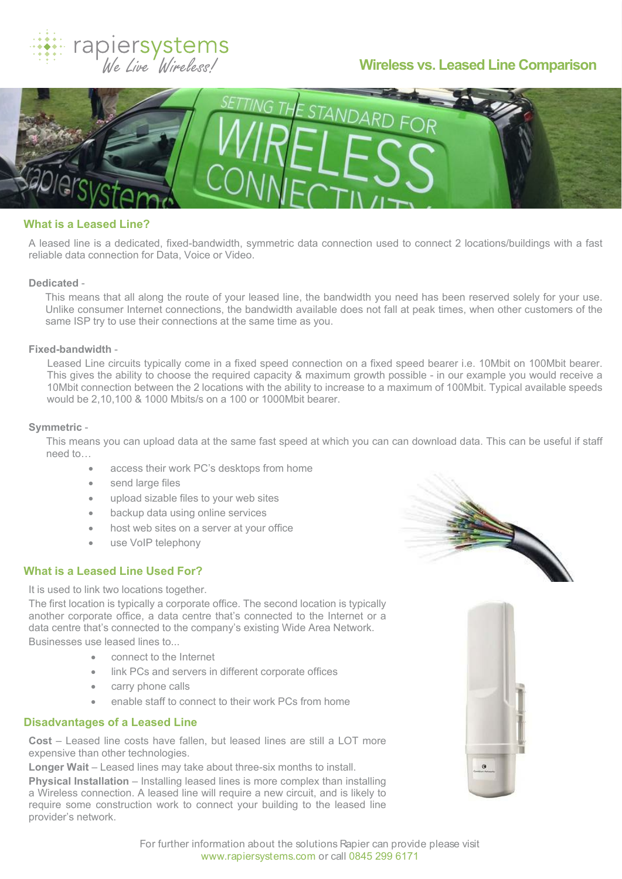

# **Wireless vs. Leased Line Comparison**



# **What is a Leased Line?**

A leased line is a dedicated, fixed-bandwidth, symmetric data connection used to connect 2 locations/buildings with a fast reliable data connection for Data, Voice or Video.

#### **Dedicated** -

This means that all along the route of your leased line, the bandwidth you need has been reserved solely for your use. Unlike consumer Internet connections, the bandwidth available does not fall at peak times, when other customers of the same ISP try to use their connections at the same time as you.

## **Fixed-bandwidth** -

Leased Line circuits typically come in a fixed speed connection on a fixed speed bearer i.e. 10Mbit on 100Mbit bearer. This gives the ability to choose the required capacity & maximum growth possible - in our example you would receive a 10Mbit connection between the 2 locations with the ability to increase to a maximum of 100Mbit. Typical available speeds would be 2,10,100 & 1000 Mbits/s on a 100 or 1000Mbit bearer.

### **Symmetric** -

This means you can upload data at the same fast speed at which you can can download data. This can be useful if staff need to…

- access their work PC's desktops from home
- send large files
- · upload sizable files to your web sites
- backup data using online services
- host web sites on a server at your office
- use VoIP telephony

# **What is a Leased Line Used For?**

It is used to link two locations together.

The first location is typically a corporate office. The second location is typically another corporate office, a data centre that's connected to the Internet or a data centre that's connected to the company's existing Wide Area Network. Businesses use leased lines to...

- connect to the Internet
- · link PCs and servers in different corporate offices
- carry phone calls
- enable staff to connect to their work PCs from home

# **Disadvantages of a Leased Line**

**Cost** – Leased line costs have fallen, but leased lines are still a LOT more expensive than other technologies.

**Longer Wait** – Leased lines may take about three-six months to install.

**Physical Installation** – Installing leased lines is more complex than installing a Wireless connection. A leased line will require a new circuit, and is likely to require some construction work to connect your building to the leased line provider's network.